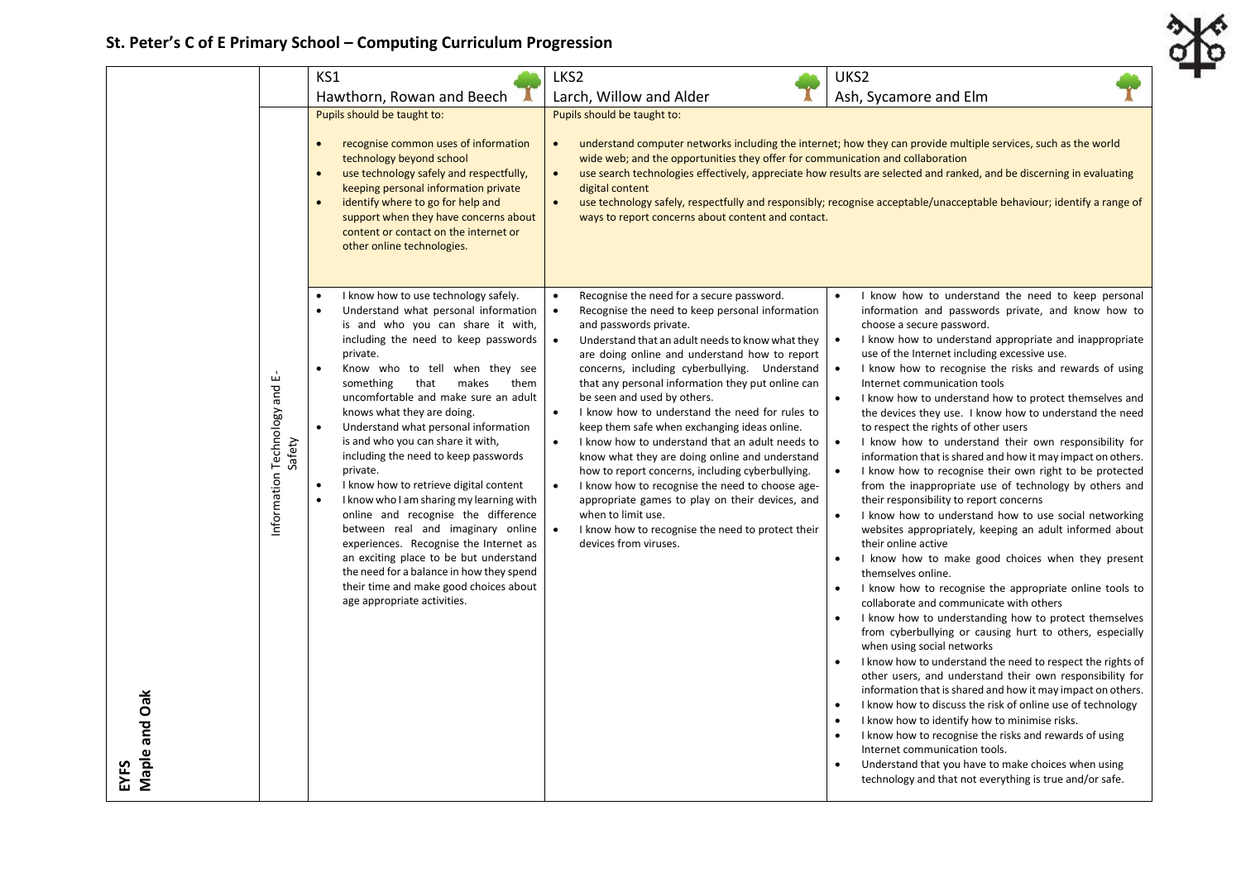## **St. Peter's C of E Primary School – Computing Curriculum Progression**

|                       |                                            | KS1                                                                                                                                                                                                                                                                                                                                                                                                                                                                                                                                                                                                                                                                                                                                                                                                                                                                    | LKS2                                                                                                                                                                                                                                                                                                                                                                                                                                                                                                                                                                                                                                                                                                                                                                                                                                                                                                                             | UKS2                                                                                                                                                                                                                                                                                                                                                                                                                                                                                                                                                                                                                                                                                                                                                                                                                                                                                                                                                                                                                                                                                                                                                                                                                                                                                                                                                                                                                                                                                                                                                                                                                                                                                                                                 |  |
|-----------------------|--------------------------------------------|------------------------------------------------------------------------------------------------------------------------------------------------------------------------------------------------------------------------------------------------------------------------------------------------------------------------------------------------------------------------------------------------------------------------------------------------------------------------------------------------------------------------------------------------------------------------------------------------------------------------------------------------------------------------------------------------------------------------------------------------------------------------------------------------------------------------------------------------------------------------|----------------------------------------------------------------------------------------------------------------------------------------------------------------------------------------------------------------------------------------------------------------------------------------------------------------------------------------------------------------------------------------------------------------------------------------------------------------------------------------------------------------------------------------------------------------------------------------------------------------------------------------------------------------------------------------------------------------------------------------------------------------------------------------------------------------------------------------------------------------------------------------------------------------------------------|--------------------------------------------------------------------------------------------------------------------------------------------------------------------------------------------------------------------------------------------------------------------------------------------------------------------------------------------------------------------------------------------------------------------------------------------------------------------------------------------------------------------------------------------------------------------------------------------------------------------------------------------------------------------------------------------------------------------------------------------------------------------------------------------------------------------------------------------------------------------------------------------------------------------------------------------------------------------------------------------------------------------------------------------------------------------------------------------------------------------------------------------------------------------------------------------------------------------------------------------------------------------------------------------------------------------------------------------------------------------------------------------------------------------------------------------------------------------------------------------------------------------------------------------------------------------------------------------------------------------------------------------------------------------------------------------------------------------------------------|--|
|                       |                                            | Hawthorn, Rowan and Beech                                                                                                                                                                                                                                                                                                                                                                                                                                                                                                                                                                                                                                                                                                                                                                                                                                              | Larch, Willow and Alder                                                                                                                                                                                                                                                                                                                                                                                                                                                                                                                                                                                                                                                                                                                                                                                                                                                                                                          | Ash, Sycamore and Elm                                                                                                                                                                                                                                                                                                                                                                                                                                                                                                                                                                                                                                                                                                                                                                                                                                                                                                                                                                                                                                                                                                                                                                                                                                                                                                                                                                                                                                                                                                                                                                                                                                                                                                                |  |
|                       |                                            | Pupils should be taught to:                                                                                                                                                                                                                                                                                                                                                                                                                                                                                                                                                                                                                                                                                                                                                                                                                                            | Pupils should be taught to:                                                                                                                                                                                                                                                                                                                                                                                                                                                                                                                                                                                                                                                                                                                                                                                                                                                                                                      |                                                                                                                                                                                                                                                                                                                                                                                                                                                                                                                                                                                                                                                                                                                                                                                                                                                                                                                                                                                                                                                                                                                                                                                                                                                                                                                                                                                                                                                                                                                                                                                                                                                                                                                                      |  |
|                       |                                            | recognise common uses of information<br>technology beyond school<br>use technology safely and respectfully,<br>$\bullet$<br>keeping personal information private<br>identify where to go for help and<br>$\bullet$<br>support when they have concerns about<br>content or contact on the internet or<br>other online technologies.                                                                                                                                                                                                                                                                                                                                                                                                                                                                                                                                     | understand computer networks including the internet; how they can provide multiple services, such as the world<br>wide web; and the opportunities they offer for communication and collaboration<br>use search technologies effectively, appreciate how results are selected and ranked, and be discerning in evaluating<br>digital content<br>use technology safely, respectfully and responsibly; recognise acceptable/unacceptable behaviour; identify a range of<br>$\bullet$<br>ways to report concerns about content and contact.                                                                                                                                                                                                                                                                                                                                                                                          |                                                                                                                                                                                                                                                                                                                                                                                                                                                                                                                                                                                                                                                                                                                                                                                                                                                                                                                                                                                                                                                                                                                                                                                                                                                                                                                                                                                                                                                                                                                                                                                                                                                                                                                                      |  |
|                       | ய்<br>Information Technology and<br>Safety | I know how to use technology safely.<br>Understand what personal information<br>$\bullet$<br>is and who you can share it with,<br>including the need to keep passwords<br>private.<br>Know who to tell when they see<br>$\bullet$<br>that<br>makes<br>them<br>something<br>uncomfortable and make sure an adult<br>knows what they are doing.<br>Understand what personal information<br>is and who you can share it with,<br>including the need to keep passwords<br>private.<br>I know how to retrieve digital content<br>$\bullet$<br>I know who I am sharing my learning with<br>online and recognise the difference<br>between real and imaginary online<br>experiences. Recognise the Internet as<br>an exciting place to be but understand<br>the need for a balance in how they spend<br>their time and make good choices about<br>age appropriate activities. | Recognise the need for a secure password.<br>$\bullet$<br>$\bullet$<br>Recognise the need to keep personal information<br>and passwords private.<br>$\bullet$<br>Understand that an adult needs to know what they<br>are doing online and understand how to report<br>concerns, including cyberbullying. Understand<br>that any personal information they put online can<br>be seen and used by others.<br>$\bullet$<br>I know how to understand the need for rules to<br>keep them safe when exchanging ideas online.<br>$\bullet$<br>I know how to understand that an adult needs to<br>know what they are doing online and understand<br>how to report concerns, including cyberbullying.<br>$\bullet$<br>I know how to recognise the need to choose age-<br>appropriate games to play on their devices, and<br>when to limit use.<br>$\bullet$<br>I know how to recognise the need to protect their<br>devices from viruses. | I know how to understand the need to keep personal<br>$\bullet$<br>information and passwords private, and know how to<br>choose a secure password.<br>$\bullet$<br>I know how to understand appropriate and inappropriate<br>use of the Internet including excessive use.<br>I know how to recognise the risks and rewards of using<br>$\bullet$<br>Internet communication tools<br>$\bullet$<br>I know how to understand how to protect themselves and<br>the devices they use. I know how to understand the need<br>to respect the rights of other users<br>I know how to understand their own responsibility for<br>$\bullet$<br>information that is shared and how it may impact on others.<br>I know how to recognise their own right to be protected<br>$\bullet$<br>from the inappropriate use of technology by others and<br>their responsibility to report concerns<br>$\bullet$<br>I know how to understand how to use social networking<br>websites appropriately, keeping an adult informed about<br>their online active<br>I know how to make good choices when they present<br>$\bullet$<br>themselves online.<br>I know how to recognise the appropriate online tools to<br>collaborate and communicate with others<br>I know how to understanding how to protect themselves<br>from cyberbullying or causing hurt to others, especially<br>when using social networks<br>I know how to understand the need to respect the rights of<br>$\bullet$<br>other users, and understand their own responsibility for<br>information that is shared and how it may impact on others.<br>I know how to discuss the risk of online use of technology<br>$\bullet$<br>I know how to identify how to minimise risks.<br>$\bullet$ |  |
| Maple and Oak<br>EYFS |                                            |                                                                                                                                                                                                                                                                                                                                                                                                                                                                                                                                                                                                                                                                                                                                                                                                                                                                        |                                                                                                                                                                                                                                                                                                                                                                                                                                                                                                                                                                                                                                                                                                                                                                                                                                                                                                                                  | I know how to recognise the risks and rewards of using<br>Internet communication tools.<br>Understand that you have to make choices when using<br>technology and that not everything is true and/or safe.                                                                                                                                                                                                                                                                                                                                                                                                                                                                                                                                                                                                                                                                                                                                                                                                                                                                                                                                                                                                                                                                                                                                                                                                                                                                                                                                                                                                                                                                                                                            |  |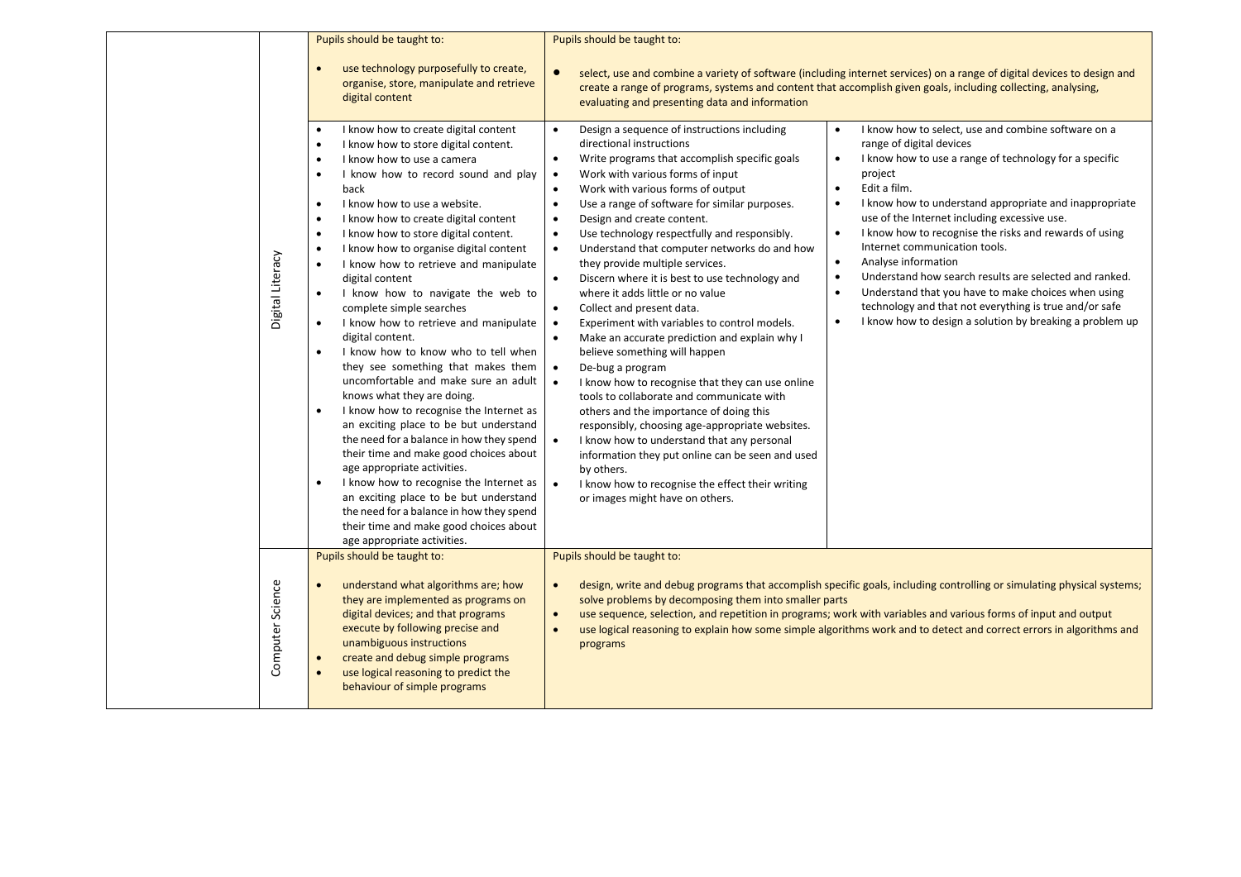|                  | Pupils should be taught to:                                                                                                                                                                                                                                                                                                                                                                                                                                                                                                                                                                                                                                                                                                                                                                                                                                                                                                                                                                                                                                                                                                                                                                                                                                                | Pupils should be taught to:                                                                                                                                                                                                                                                                                                                                                                                                                                                                                                                                                                                                                                                                                                                                                                                                                                                                                                                                                                                                                                                                                                                                                                                                                                                                                                                                                                                                                                                                                                                                                                                                                                                                                                                                                                                                                                                                                                                                                                                                                              |
|------------------|----------------------------------------------------------------------------------------------------------------------------------------------------------------------------------------------------------------------------------------------------------------------------------------------------------------------------------------------------------------------------------------------------------------------------------------------------------------------------------------------------------------------------------------------------------------------------------------------------------------------------------------------------------------------------------------------------------------------------------------------------------------------------------------------------------------------------------------------------------------------------------------------------------------------------------------------------------------------------------------------------------------------------------------------------------------------------------------------------------------------------------------------------------------------------------------------------------------------------------------------------------------------------|----------------------------------------------------------------------------------------------------------------------------------------------------------------------------------------------------------------------------------------------------------------------------------------------------------------------------------------------------------------------------------------------------------------------------------------------------------------------------------------------------------------------------------------------------------------------------------------------------------------------------------------------------------------------------------------------------------------------------------------------------------------------------------------------------------------------------------------------------------------------------------------------------------------------------------------------------------------------------------------------------------------------------------------------------------------------------------------------------------------------------------------------------------------------------------------------------------------------------------------------------------------------------------------------------------------------------------------------------------------------------------------------------------------------------------------------------------------------------------------------------------------------------------------------------------------------------------------------------------------------------------------------------------------------------------------------------------------------------------------------------------------------------------------------------------------------------------------------------------------------------------------------------------------------------------------------------------------------------------------------------------------------------------------------------------|
|                  | use technology purposefully to create,<br>$\bullet$<br>organise, store, manipulate and retrieve<br>digital content                                                                                                                                                                                                                                                                                                                                                                                                                                                                                                                                                                                                                                                                                                                                                                                                                                                                                                                                                                                                                                                                                                                                                         | $\bullet$<br>select, use and combine a variety of software (including internet services) on a range of digital devices to design and<br>create a range of programs, systems and content that accomplish given goals, including collecting, analysing,<br>evaluating and presenting data and information                                                                                                                                                                                                                                                                                                                                                                                                                                                                                                                                                                                                                                                                                                                                                                                                                                                                                                                                                                                                                                                                                                                                                                                                                                                                                                                                                                                                                                                                                                                                                                                                                                                                                                                                                  |
| Digital Literacy | I know how to create digital content<br>$\bullet$<br>I know how to store digital content.<br>$\bullet$<br>I know how to use a camera<br>$\bullet$<br>I know how to record sound and play<br>$\bullet$<br>back<br>I know how to use a website.<br>$\bullet$<br>I know how to create digital content<br>$\bullet$<br>I know how to store digital content.<br>$\bullet$<br>I know how to organise digital content<br>$\bullet$<br>I know how to retrieve and manipulate<br>$\bullet$<br>digital content<br>I know how to navigate the web to<br>$\bullet$<br>complete simple searches<br>I know how to retrieve and manipulate<br>$\bullet$<br>digital content.<br>$\bullet$<br>I know how to know who to tell when<br>they see something that makes them<br>uncomfortable and make sure an adult<br>knows what they are doing.<br>$\bullet$<br>I know how to recognise the Internet as<br>an exciting place to be but understand<br>the need for a balance in how they spend<br>their time and make good choices about<br>age appropriate activities.<br>$\bullet$<br>I know how to recognise the Internet as<br>an exciting place to be but understand<br>the need for a balance in how they spend<br>their time and make good choices about<br>age appropriate activities. | Design a sequence of instructions including<br>I know how to select, use and combine software on a<br>$\bullet$<br>directional instructions<br>range of digital devices<br>Write programs that accomplish specific goals<br>I know how to use a range of technology for a specific<br>$\bullet$<br>$\bullet$<br>Work with various forms of input<br>project<br>$\bullet$<br>$\bullet$<br>Edit a film.<br>Work with various forms of output<br>$\bullet$<br>Use a range of software for similar purposes.<br>I know how to understand appropriate and inappropriate<br>$\bullet$<br>$\bullet$<br>use of the Internet including excessive use.<br>Design and create content.<br>$\bullet$<br>I know how to recognise the risks and rewards of using<br>$\bullet$<br>Use technology respectfully and responsibly.<br>$\bullet$<br>Internet communication tools.<br>Understand that computer networks do and how<br>$\bullet$<br>$\bullet$<br>Analyse information<br>they provide multiple services.<br>Understand how search results are selected and ranked.<br>$\bullet$<br>Discern where it is best to use technology and<br>$\bullet$<br>$\bullet$<br>Understand that you have to make choices when using<br>where it adds little or no value<br>technology and that not everything is true and/or safe<br>Collect and present data.<br>$\bullet$<br>I know how to design a solution by breaking a problem up<br>$\bullet$<br>Experiment with variables to control models.<br>$\bullet$<br>Make an accurate prediction and explain why I<br>$\bullet$<br>believe something will happen<br>$\bullet$<br>De-bug a program<br>I know how to recognise that they can use online<br>$\bullet$<br>tools to collaborate and communicate with<br>others and the importance of doing this<br>responsibly, choosing age-appropriate websites.<br>I know how to understand that any personal<br>information they put online can be seen and used<br>by others.<br>I know how to recognise the effect their writing<br>$\bullet$<br>or images might have on others. |
|                  | Pupils should be taught to:                                                                                                                                                                                                                                                                                                                                                                                                                                                                                                                                                                                                                                                                                                                                                                                                                                                                                                                                                                                                                                                                                                                                                                                                                                                | Pupils should be taught to:                                                                                                                                                                                                                                                                                                                                                                                                                                                                                                                                                                                                                                                                                                                                                                                                                                                                                                                                                                                                                                                                                                                                                                                                                                                                                                                                                                                                                                                                                                                                                                                                                                                                                                                                                                                                                                                                                                                                                                                                                              |
| Computer Science | understand what algorithms are; how<br>$\bullet$<br>they are implemented as programs on<br>digital devices; and that programs<br>execute by following precise and<br>unambiguous instructions<br>create and debug simple programs<br>use logical reasoning to predict the<br>$\bullet$<br>behaviour of simple programs                                                                                                                                                                                                                                                                                                                                                                                                                                                                                                                                                                                                                                                                                                                                                                                                                                                                                                                                                     | design, write and debug programs that accomplish specific goals, including controlling or simulating physical systems;<br>solve problems by decomposing them into smaller parts<br>use sequence, selection, and repetition in programs; work with variables and various forms of input and output<br>$\bullet$<br>use logical reasoning to explain how some simple algorithms work and to detect and correct errors in algorithms and<br>programs                                                                                                                                                                                                                                                                                                                                                                                                                                                                                                                                                                                                                                                                                                                                                                                                                                                                                                                                                                                                                                                                                                                                                                                                                                                                                                                                                                                                                                                                                                                                                                                                        |